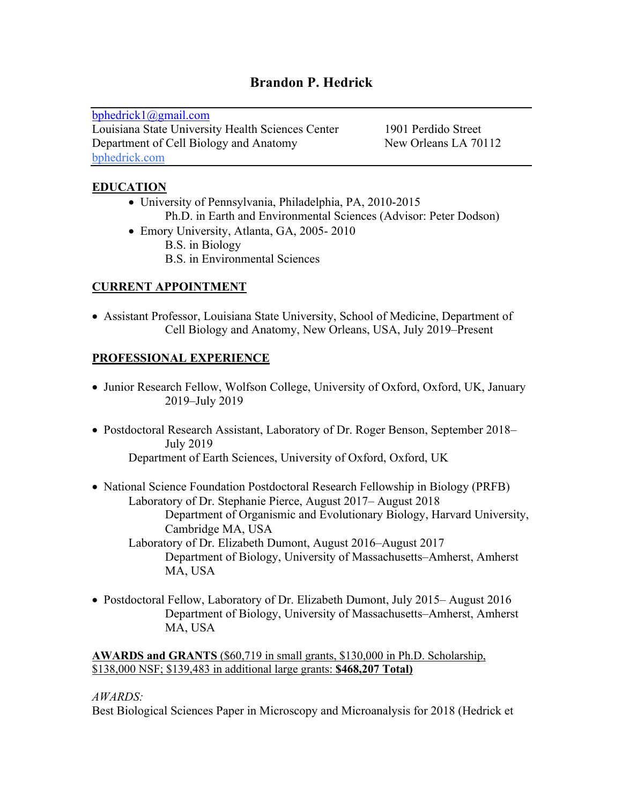# **Brandon P. Hedrick**

bphedrick1@gmail.com Louisiana State University Health Sciences Center 1901 Perdido Street Department of Cell Biology and Anatomy New Orleans LA 70112 bphedrick.com

## **EDUCATION**

- University of Pennsylvania, Philadelphia, PA, 2010-2015 Ph.D. in Earth and Environmental Sciences (Advisor: Peter Dodson)
- Emory University, Atlanta, GA, 2005- 2010 B.S. in Biology B.S. in Environmental Sciences

## **CURRENT APPOINTMENT**

• Assistant Professor, Louisiana State University, School of Medicine, Department of Cell Biology and Anatomy, New Orleans, USA, July 2019–Present

## **PROFESSIONAL EXPERIENCE**

- Junior Research Fellow, Wolfson College, University of Oxford, Oxford, UK, January 2019–July 2019
- Postdoctoral Research Assistant, Laboratory of Dr. Roger Benson, September 2018– July 2019 Department of Earth Sciences, University of Oxford, Oxford, UK
- National Science Foundation Postdoctoral Research Fellowship in Biology (PRFB) Laboratory of Dr. Stephanie Pierce, August 2017– August 2018 Department of Organismic and Evolutionary Biology, Harvard University, Cambridge MA, USA Laboratory of Dr. Elizabeth Dumont, August 2016–August 2017 Department of Biology, University of Massachusetts–Amherst, Amherst MA, USA
- Postdoctoral Fellow, Laboratory of Dr. Elizabeth Dumont, July 2015– August 2016 Department of Biology, University of Massachusetts–Amherst, Amherst MA, USA

**AWARDS and GRANTS** (\$60,719 in small grants, \$130,000 in Ph.D. Scholarship, \$138,000 NSF; \$139,483 in additional large grants: **\$468,207 Total)**

#### *AWARDS:*

Best Biological Sciences Paper in Microscopy and Microanalysis for 2018 (Hedrick et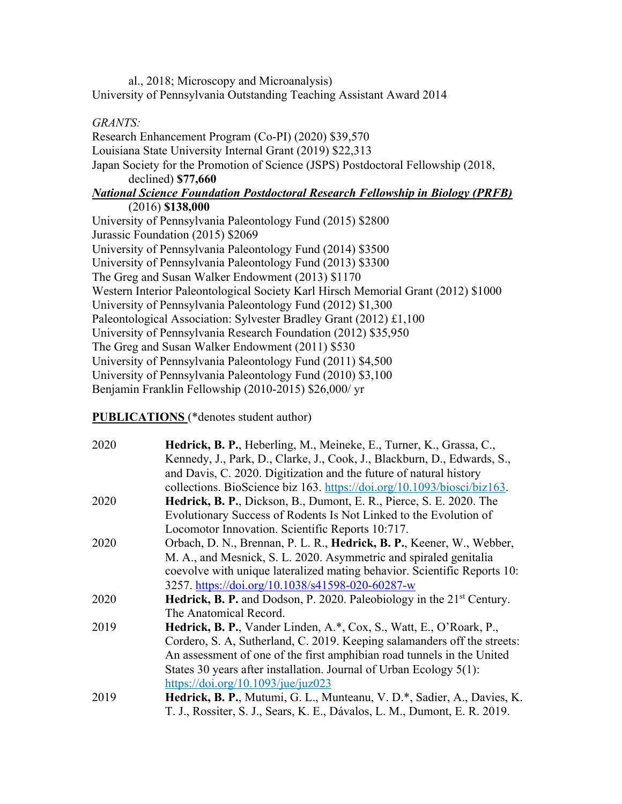al., 2018; Microscopy and Microanalysis) University of Pennsylvania Outstanding Teaching Assistant Award 2014

#### *GRANTS:*

Research Enhancement Program (Co-PI) (2020) \$39,570 Louisiana State University Internal Grant (2019) \$22,313 Japan Society for the Promotion of Science (JSPS) Postdoctoral Fellowship (2018, declined) **\$77,660** *National Science Foundation Postdoctoral Research Fellowship in Biology (PRFB)* (2016) **\$138,000** University of Pennsylvania Paleontology Fund (2015) \$2800 Jurassic Foundation (2015) \$2069 University of Pennsylvania Paleontology Fund (2014) \$3500 University of Pennsylvania Paleontology Fund (2013) \$3300 The Greg and Susan Walker Endowment (2013) \$1170 Western Interior Paleontological Society Karl Hirsch Memorial Grant (2012) \$1000 University of Pennsylvania Paleontology Fund (2012) \$1,300 Paleontological Association: Sylvester Bradley Grant (2012) £1,100 University of Pennsylvania Research Foundation (2012) \$35,950 The Greg and Susan Walker Endowment (2011) \$530 University of Pennsylvania Paleontology Fund (2011) \$4,500 University of Pennsylvania Paleontology Fund (2010) \$3,100 Benjamin Franklin Fellowship (2010-2015) \$26,000/ yr

**PUBLICATIONS** (\*denotes student author)

| 2020 | Hedrick, B. P., Heberling, M., Meineke, E., Turner, K., Grassa, C.,<br>Kennedy, J., Park, D., Clarke, J., Cook, J., Blackburn, D., Edwards, S.,<br>and Davis, C. 2020. Digitization and the future of natural history |
|------|-----------------------------------------------------------------------------------------------------------------------------------------------------------------------------------------------------------------------|
|      | collections. BioScience biz 163. https://doi.org/10.1093/biosci/biz163.                                                                                                                                               |
| 2020 | Hedrick, B. P., Dickson, B., Dumont, E. R., Pierce, S. E. 2020. The                                                                                                                                                   |
|      | Evolutionary Success of Rodents Is Not Linked to the Evolution of                                                                                                                                                     |
|      | Locomotor Innovation. Scientific Reports 10:717.                                                                                                                                                                      |
| 2020 | Orbach, D. N., Brennan, P. L. R., Hedrick, B. P., Keener, W., Webber,                                                                                                                                                 |
|      | M. A., and Mesnick, S. L. 2020. Asymmetric and spiraled genitalia                                                                                                                                                     |
|      | coevolve with unique lateralized mating behavior. Scientific Reports 10:                                                                                                                                              |
|      | 3257. https://doi.org/10.1038/s41598-020-60287-w                                                                                                                                                                      |
| 2020 | Hedrick, B. P. and Dodson, P. 2020. Paleobiology in the 21 <sup>st</sup> Century.                                                                                                                                     |
|      | The Anatomical Record.                                                                                                                                                                                                |
| 2019 | Hedrick, B. P., Vander Linden, A.*, Cox, S., Watt, E., O'Roark, P.,                                                                                                                                                   |
|      | Cordero, S. A, Sutherland, C. 2019. Keeping salamanders off the streets:                                                                                                                                              |
|      | An assessment of one of the first amphibian road tunnels in the United                                                                                                                                                |
|      | States 30 years after installation. Journal of Urban Ecology 5(1):                                                                                                                                                    |
|      | https://doi.org/10.1093/jue/juz023                                                                                                                                                                                    |
| 2019 | Hedrick, B. P., Mutumi, G. L., Munteanu, V. D.*, Sadier, A., Davies, K.                                                                                                                                               |
|      | T. J., Rossiter, S. J., Sears, K. E., Dávalos, L. M., Dumont, E. R. 2019.                                                                                                                                             |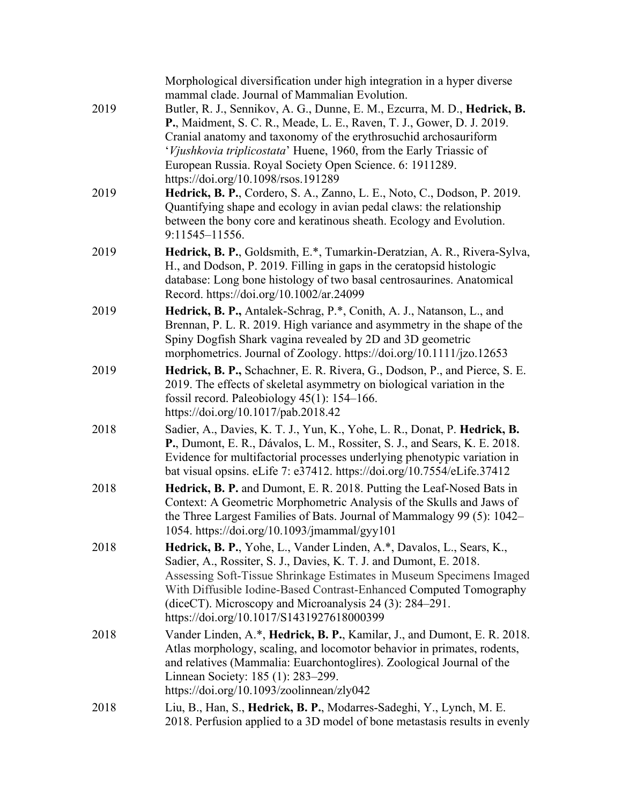| 2019 | Morphological diversification under high integration in a hyper diverse<br>mammal clade. Journal of Mammalian Evolution.<br>Butler, R. J., Sennikov, A. G., Dunne, E. M., Ezcurra, M. D., Hedrick, B.<br>P., Maidment, S. C. R., Meade, L. E., Raven, T. J., Gower, D. J. 2019.<br>Cranial anatomy and taxonomy of the erythrosuchid archosauriform<br><i>'Vjushkovia triplicostata'</i> Huene, 1960, from the Early Triassic of<br>European Russia. Royal Society Open Science. 6: 1911289. |
|------|----------------------------------------------------------------------------------------------------------------------------------------------------------------------------------------------------------------------------------------------------------------------------------------------------------------------------------------------------------------------------------------------------------------------------------------------------------------------------------------------|
| 2019 | https://doi.org/10.1098/rsos.191289<br>Hedrick, B. P., Cordero, S. A., Zanno, L. E., Noto, C., Dodson, P. 2019.<br>Quantifying shape and ecology in avian pedal claws: the relationship<br>between the bony core and keratinous sheath. Ecology and Evolution.<br>9:11545-11556.                                                                                                                                                                                                             |
| 2019 | Hedrick, B. P., Goldsmith, E.*, Tumarkin-Deratzian, A. R., Rivera-Sylva,<br>H., and Dodson, P. 2019. Filling in gaps in the ceratopsid histologic<br>database: Long bone histology of two basal centrosaurines. Anatomical<br>Record. https://doi.org/10.1002/ar.24099                                                                                                                                                                                                                       |
| 2019 | Hedrick, B. P., Antalek-Schrag, P.*, Conith, A. J., Natanson, L., and<br>Brennan, P. L. R. 2019. High variance and asymmetry in the shape of the<br>Spiny Dogfish Shark vagina revealed by 2D and 3D geometric<br>morphometrics. Journal of Zoology. https://doi.org/10.1111/jzo.12653                                                                                                                                                                                                       |
| 2019 | Hedrick, B. P., Schachner, E. R. Rivera, G., Dodson, P., and Pierce, S. E.<br>2019. The effects of skeletal asymmetry on biological variation in the<br>fossil record. Paleobiology $45(1)$ : 154–166.<br>https://doi.org/10.1017/pab.2018.42                                                                                                                                                                                                                                                |
| 2018 | Sadier, A., Davies, K. T. J., Yun, K., Yohe, L. R., Donat, P. Hedrick, B.<br>P., Dumont, E. R., Dávalos, L. M., Rossiter, S. J., and Sears, K. E. 2018.<br>Evidence for multifactorial processes underlying phenotypic variation in<br>bat visual opsins. eLife 7: e37412. https://doi.org/10.7554/eLife.37412                                                                                                                                                                               |
| 2018 | Hedrick, B. P. and Dumont, E. R. 2018. Putting the Leaf-Nosed Bats in<br>Context: A Geometric Morphometric Analysis of the Skulls and Jaws of<br>the Three Largest Families of Bats. Journal of Mammalogy 99 (5): 1042-<br>1054. https://doi.org/10.1093/jmammal/gyy101                                                                                                                                                                                                                      |
| 2018 | Hedrick, B. P., Yohe, L., Vander Linden, A.*, Davalos, L., Sears, K.,<br>Sadier, A., Rossiter, S. J., Davies, K. T. J. and Dumont, E. 2018.<br>Assessing Soft-Tissue Shrinkage Estimates in Museum Specimens Imaged<br>With Diffusible Iodine-Based Contrast-Enhanced Computed Tomography<br>(diceCT). Microscopy and Microanalysis $24(3)$ : $284-291$ .<br>https://doi.org/10.1017/S1431927618000399                                                                                       |
| 2018 | Vander Linden, A.*, Hedrick, B. P., Kamilar, J., and Dumont, E. R. 2018.<br>Atlas morphology, scaling, and locomotor behavior in primates, rodents,<br>and relatives (Mammalia: Euarchontoglires). Zoological Journal of the<br>Linnean Society: 185 (1): 283–299.<br>https://doi.org/10.1093/zoolinnean/zly042                                                                                                                                                                              |
| 2018 | Liu, B., Han, S., Hedrick, B. P., Modarres-Sadeghi, Y., Lynch, M. E.<br>2018. Perfusion applied to a 3D model of bone metastasis results in evenly                                                                                                                                                                                                                                                                                                                                           |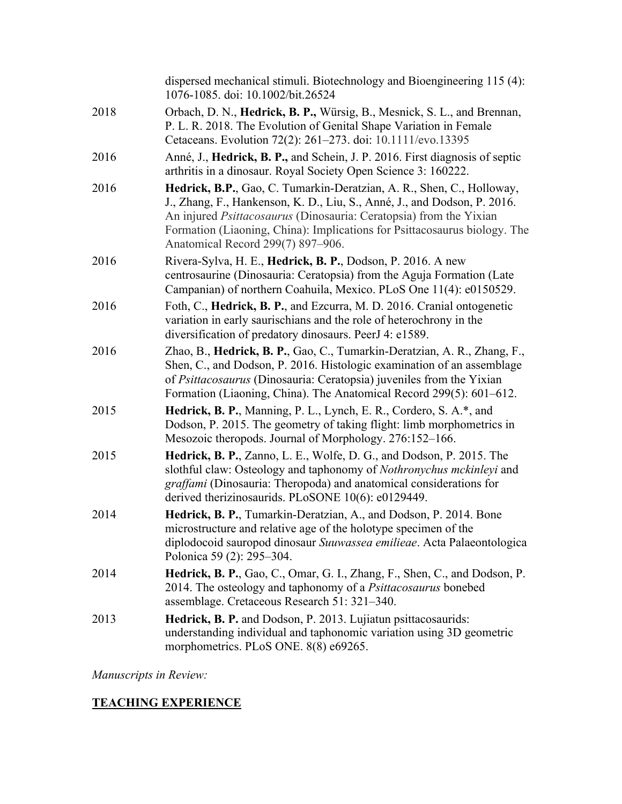|      | dispersed mechanical stimuli. Biotechnology and Bioengineering 115 (4):<br>1076-1085. doi: 10.1002/bit.26524                                                                                                                                                                                                                                     |
|------|--------------------------------------------------------------------------------------------------------------------------------------------------------------------------------------------------------------------------------------------------------------------------------------------------------------------------------------------------|
| 2018 | Orbach, D. N., Hedrick, B. P., Würsig, B., Mesnick, S. L., and Brennan,<br>P. L. R. 2018. The Evolution of Genital Shape Variation in Female<br>Cetaceans. Evolution 72(2): 261-273. doi: 10.1111/evo.13395                                                                                                                                      |
| 2016 | Anné, J., Hedrick, B. P., and Schein, J. P. 2016. First diagnosis of septic<br>arthritis in a dinosaur. Royal Society Open Science 3: 160222.                                                                                                                                                                                                    |
| 2016 | Hedrick, B.P., Gao, C. Tumarkin-Deratzian, A. R., Shen, C., Holloway,<br>J., Zhang, F., Hankenson, K. D., Liu, S., Anné, J., and Dodson, P. 2016.<br>An injured <i>Psittacosaurus</i> (Dinosauria: Ceratopsia) from the Yixian<br>Formation (Liaoning, China): Implications for Psittacosaurus biology. The<br>Anatomical Record 299(7) 897-906. |
| 2016 | Rivera-Sylva, H. E., Hedrick, B. P., Dodson, P. 2016. A new<br>centrosaurine (Dinosauria: Ceratopsia) from the Aguja Formation (Late<br>Campanian) of northern Coahuila, Mexico. PLoS One 11(4): e0150529.                                                                                                                                       |
| 2016 | Foth, C., Hedrick, B. P., and Ezcurra, M. D. 2016. Cranial ontogenetic<br>variation in early saurischians and the role of heterochrony in the<br>diversification of predatory dinosaurs. PeerJ 4: e1589.                                                                                                                                         |
| 2016 | Zhao, B., Hedrick, B. P., Gao, C., Tumarkin-Deratzian, A. R., Zhang, F.,<br>Shen, C., and Dodson, P. 2016. Histologic examination of an assemblage<br>of <i>Psittacosaurus</i> (Dinosauria: Ceratopsia) juveniles from the Yixian<br>Formation (Liaoning, China). The Anatomical Record 299(5): 601–612.                                         |
| 2015 | Hedrick, B. P., Manning, P. L., Lynch, E. R., Cordero, S. A.*, and<br>Dodson, P. 2015. The geometry of taking flight: limb morphometrics in<br>Mesozoic theropods. Journal of Morphology. 276:152-166.                                                                                                                                           |
| 2015 | Hedrick, B. P., Zanno, L. E., Wolfe, D. G., and Dodson, P. 2015. The<br>slothful claw: Osteology and taphonomy of Nothronychus mckinleyi and<br>graffami (Dinosauria: Theropoda) and anatomical considerations for<br>derived therizinosaurids. PLoSONE 10(6): e0129449.                                                                         |
| 2014 | Hedrick, B. P., Tumarkin-Deratzian, A., and Dodson, P. 2014. Bone<br>microstructure and relative age of the holotype specimen of the<br>diplodocoid sauropod dinosaur Suuwassea emilieae. Acta Palaeontologica<br>Polonica 59 (2): 295-304.                                                                                                      |
| 2014 | Hedrick, B. P., Gao, C., Omar, G. I., Zhang, F., Shen, C., and Dodson, P.<br>2014. The osteology and taphonomy of a Psittacosaurus bonebed<br>assemblage. Cretaceous Research 51: 321-340.                                                                                                                                                       |
| 2013 | Hedrick, B. P. and Dodson, P. 2013. Lujiatun psittacosaurids:<br>understanding individual and taphonomic variation using 3D geometric<br>morphometrics. PLoS ONE. 8(8) e69265.                                                                                                                                                                   |

*Manuscripts in Review:*

# **TEACHING EXPERIENCE**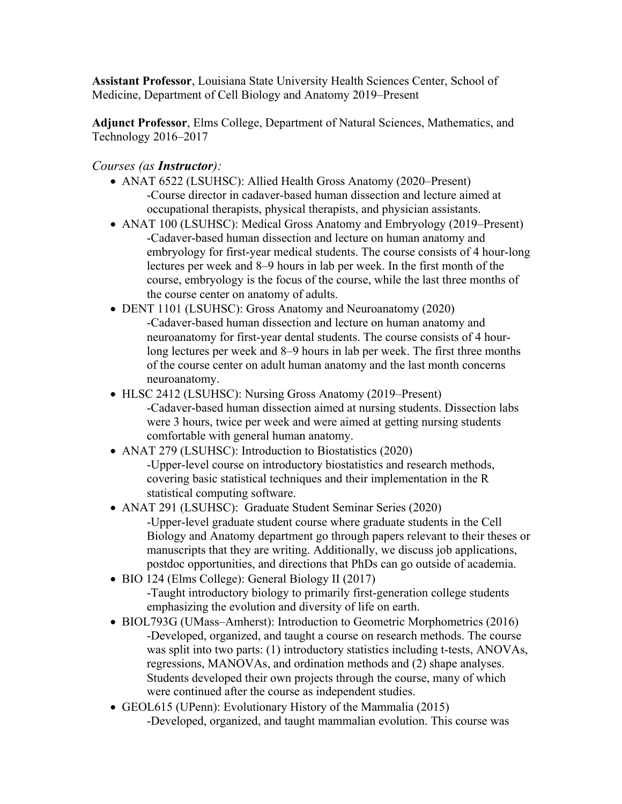**Assistant Professor**, Louisiana State University Health Sciences Center, School of Medicine, Department of Cell Biology and Anatomy 2019–Present

**Adjunct Professor**, Elms College, Department of Natural Sciences, Mathematics, and Technology 2016–2017

*Courses (as Instructor):*

- ANAT 6522 (LSUHSC): Allied Health Gross Anatomy (2020–Present) -Course director in cadaver-based human dissection and lecture aimed at occupational therapists, physical therapists, and physician assistants.
- ANAT 100 (LSUHSC): Medical Gross Anatomy and Embryology (2019–Present) -Cadaver-based human dissection and lecture on human anatomy and embryology for first-year medical students. The course consists of 4 hour-long lectures per week and 8–9 hours in lab per week. In the first month of the course, embryology is the focus of the course, while the last three months of the course center on anatomy of adults.
- DENT 1101 (LSUHSC): Gross Anatomy and Neuroanatomy (2020) -Cadaver-based human dissection and lecture on human anatomy and neuroanatomy for first-year dental students. The course consists of 4 hourlong lectures per week and 8–9 hours in lab per week. The first three months of the course center on adult human anatomy and the last month concerns neuroanatomy.
- HLSC 2412 (LSUHSC): Nursing Gross Anatomy (2019–Present) -Cadaver-based human dissection aimed at nursing students. Dissection labs were 3 hours, twice per week and were aimed at getting nursing students comfortable with general human anatomy.
- ANAT 279 (LSUHSC): Introduction to Biostatistics (2020) -Upper-level course on introductory biostatistics and research methods, covering basic statistical techniques and their implementation in the R statistical computing software.
- ANAT 291 (LSUHSC): Graduate Student Seminar Series (2020) -Upper-level graduate student course where graduate students in the Cell Biology and Anatomy department go through papers relevant to their theses or manuscripts that they are writing. Additionally, we discuss job applications, postdoc opportunities, and directions that PhDs can go outside of academia.
- BIO 124 (Elms College): General Biology II (2017) -Taught introductory biology to primarily first-generation college students emphasizing the evolution and diversity of life on earth.
- BIOL793G (UMass–Amherst): Introduction to Geometric Morphometrics (2016) -Developed, organized, and taught a course on research methods. The course was split into two parts: (1) introductory statistics including t-tests, ANOVAs, regressions, MANOVAs, and ordination methods and (2) shape analyses. Students developed their own projects through the course, many of which were continued after the course as independent studies.
- GEOL615 (UPenn): Evolutionary History of the Mammalia (2015) -Developed, organized, and taught mammalian evolution. This course was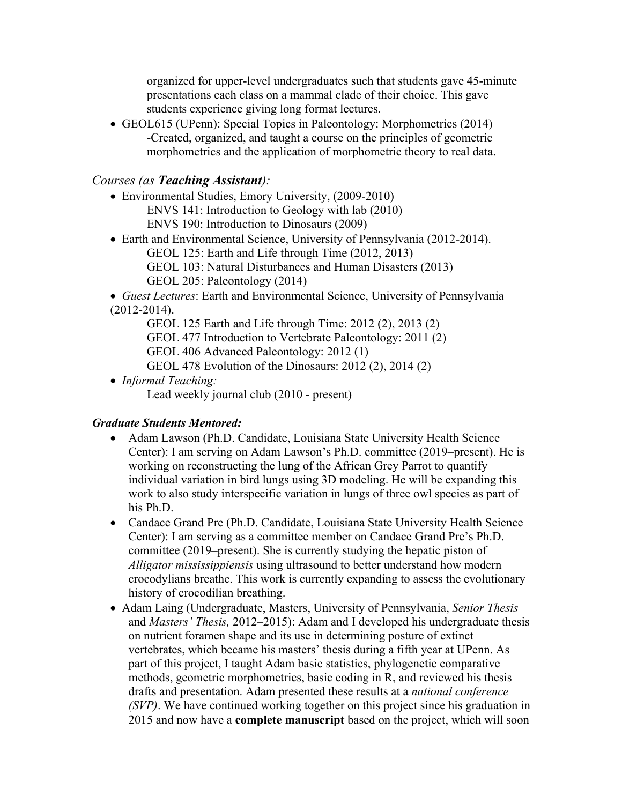organized for upper-level undergraduates such that students gave 45-minute presentations each class on a mammal clade of their choice. This gave students experience giving long format lectures.

• GEOL615 (UPenn): Special Topics in Paleontology: Morphometrics (2014) -Created, organized, and taught a course on the principles of geometric morphometrics and the application of morphometric theory to real data.

## *Courses (as Teaching Assistant):*

- Environmental Studies, Emory University, (2009-2010) ENVS 141: Introduction to Geology with lab (2010) ENVS 190: Introduction to Dinosaurs (2009)
- Earth and Environmental Science, University of Pennsylvania (2012-2014). GEOL 125: Earth and Life through Time (2012, 2013) GEOL 103: Natural Disturbances and Human Disasters (2013) GEOL 205: Paleontology (2014)

• *Guest Lectures*: Earth and Environmental Science, University of Pennsylvania (2012-2014).

GEOL 125 Earth and Life through Time: 2012 (2), 2013 (2)

GEOL 477 Introduction to Vertebrate Paleontology: 2011 (2)

GEOL 406 Advanced Paleontology: 2012 (1)

GEOL 478 Evolution of the Dinosaurs: 2012 (2), 2014 (2)

• *Informal Teaching:*

Lead weekly journal club (2010 - present)

## *Graduate Students Mentored:*

- Adam Lawson (Ph.D. Candidate, Louisiana State University Health Science Center): I am serving on Adam Lawson's Ph.D. committee (2019–present). He is working on reconstructing the lung of the African Grey Parrot to quantify individual variation in bird lungs using 3D modeling. He will be expanding this work to also study interspecific variation in lungs of three owl species as part of his Ph.D.
- Candace Grand Pre (Ph.D. Candidate, Louisiana State University Health Science Center): I am serving as a committee member on Candace Grand Pre's Ph.D. committee (2019–present). She is currently studying the hepatic piston of *Alligator mississippiensis* using ultrasound to better understand how modern crocodylians breathe. This work is currently expanding to assess the evolutionary history of crocodilian breathing.
- Adam Laing (Undergraduate, Masters, University of Pennsylvania, *Senior Thesis* and *Masters' Thesis,* 2012–2015): Adam and I developed his undergraduate thesis on nutrient foramen shape and its use in determining posture of extinct vertebrates, which became his masters' thesis during a fifth year at UPenn. As part of this project, I taught Adam basic statistics, phylogenetic comparative methods, geometric morphometrics, basic coding in R, and reviewed his thesis drafts and presentation. Adam presented these results at a *national conference (SVP)*. We have continued working together on this project since his graduation in 2015 and now have a **complete manuscript** based on the project, which will soon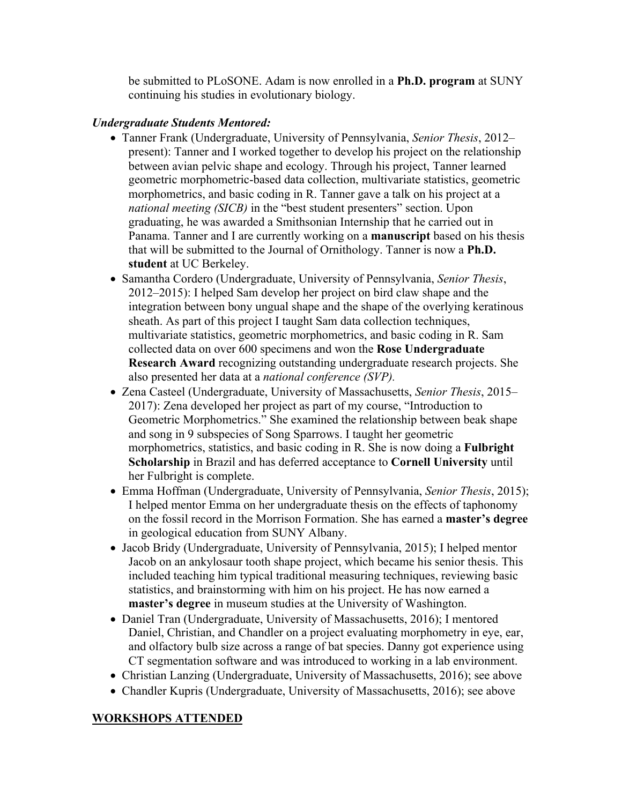be submitted to PLoSONE. Adam is now enrolled in a **Ph.D. program** at SUNY continuing his studies in evolutionary biology.

### *Undergraduate Students Mentored:*

- Tanner Frank (Undergraduate, University of Pennsylvania, *Senior Thesis*, 2012– present): Tanner and I worked together to develop his project on the relationship between avian pelvic shape and ecology. Through his project, Tanner learned geometric morphometric-based data collection, multivariate statistics, geometric morphometrics, and basic coding in R. Tanner gave a talk on his project at a *national meeting (SICB)* in the "best student presenters" section. Upon graduating, he was awarded a Smithsonian Internship that he carried out in Panama. Tanner and I are currently working on a **manuscript** based on his thesis that will be submitted to the Journal of Ornithology. Tanner is now a **Ph.D. student** at UC Berkeley.
- Samantha Cordero (Undergraduate, University of Pennsylvania, *Senior Thesis*, 2012–2015): I helped Sam develop her project on bird claw shape and the integration between bony ungual shape and the shape of the overlying keratinous sheath. As part of this project I taught Sam data collection techniques, multivariate statistics, geometric morphometrics, and basic coding in R. Sam collected data on over 600 specimens and won the **Rose Undergraduate Research Award** recognizing outstanding undergraduate research projects. She also presented her data at a *national conference (SVP).*
- Zena Casteel (Undergraduate, University of Massachusetts, *Senior Thesis*, 2015– 2017): Zena developed her project as part of my course, "Introduction to Geometric Morphometrics." She examined the relationship between beak shape and song in 9 subspecies of Song Sparrows. I taught her geometric morphometrics, statistics, and basic coding in R. She is now doing a **Fulbright Scholarship** in Brazil and has deferred acceptance to **Cornell University** until her Fulbright is complete.
- Emma Hoffman (Undergraduate, University of Pennsylvania, *Senior Thesis*, 2015); I helped mentor Emma on her undergraduate thesis on the effects of taphonomy on the fossil record in the Morrison Formation. She has earned a **master's degree** in geological education from SUNY Albany.
- Jacob Bridy (Undergraduate, University of Pennsylvania, 2015); I helped mentor Jacob on an ankylosaur tooth shape project, which became his senior thesis. This included teaching him typical traditional measuring techniques, reviewing basic statistics, and brainstorming with him on his project. He has now earned a **master's degree** in museum studies at the University of Washington.
- Daniel Tran (Undergraduate, University of Massachusetts, 2016); I mentored Daniel, Christian, and Chandler on a project evaluating morphometry in eye, ear, and olfactory bulb size across a range of bat species. Danny got experience using CT segmentation software and was introduced to working in a lab environment.
- Christian Lanzing (Undergraduate, University of Massachusetts, 2016); see above
- Chandler Kupris (Undergraduate, University of Massachusetts, 2016); see above

#### **WORKSHOPS ATTENDED**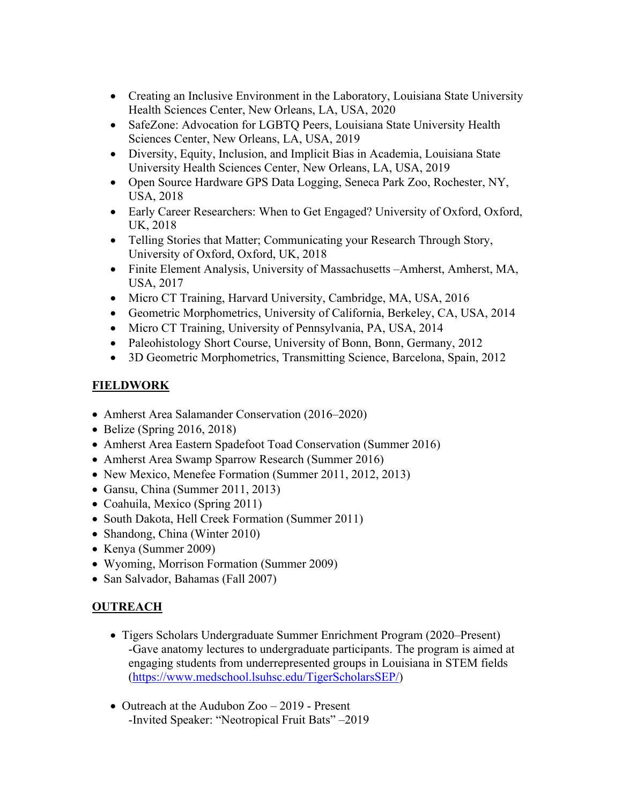- Creating an Inclusive Environment in the Laboratory, Louisiana State University Health Sciences Center, New Orleans, LA, USA, 2020
- SafeZone: Advocation for LGBTQ Peers, Louisiana State University Health Sciences Center, New Orleans, LA, USA, 2019
- Diversity, Equity, Inclusion, and Implicit Bias in Academia, Louisiana State University Health Sciences Center, New Orleans, LA, USA, 2019
- Open Source Hardware GPS Data Logging, Seneca Park Zoo, Rochester, NY, USA, 2018
- Early Career Researchers: When to Get Engaged? University of Oxford, Oxford, UK, 2018
- Telling Stories that Matter; Communicating your Research Through Story, University of Oxford, Oxford, UK, 2018
- Finite Element Analysis, University of Massachusetts –Amherst, Amherst, MA, USA, 2017
- Micro CT Training, Harvard University, Cambridge, MA, USA, 2016
- Geometric Morphometrics, University of California, Berkeley, CA, USA, 2014
- Micro CT Training, University of Pennsylvania, PA, USA, 2014
- Paleohistology Short Course, University of Bonn, Bonn, Germany, 2012
- 3D Geometric Morphometrics, Transmitting Science, Barcelona, Spain, 2012

# **FIELDWORK**

- Amherst Area Salamander Conservation (2016–2020)
- Belize (Spring 2016, 2018)
- Amherst Area Eastern Spadefoot Toad Conservation (Summer 2016)
- Amherst Area Swamp Sparrow Research (Summer 2016)
- New Mexico, Menefee Formation (Summer 2011, 2012, 2013)
- Gansu, China (Summer 2011, 2013)
- Coahuila, Mexico (Spring 2011)
- South Dakota, Hell Creek Formation (Summer 2011)
- Shandong, China (Winter 2010)
- Kenya (Summer 2009)
- Wyoming, Morrison Formation (Summer 2009)
- San Salvador, Bahamas (Fall 2007)

# **OUTREACH**

- Tigers Scholars Undergraduate Summer Enrichment Program (2020–Present) -Gave anatomy lectures to undergraduate participants. The program is aimed at engaging students from underrepresented groups in Louisiana in STEM fields (https://www.medschool.lsuhsc.edu/TigerScholarsSEP/)
- Outreach at the Audubon Zoo 2019 Present -Invited Speaker: "Neotropical Fruit Bats" –2019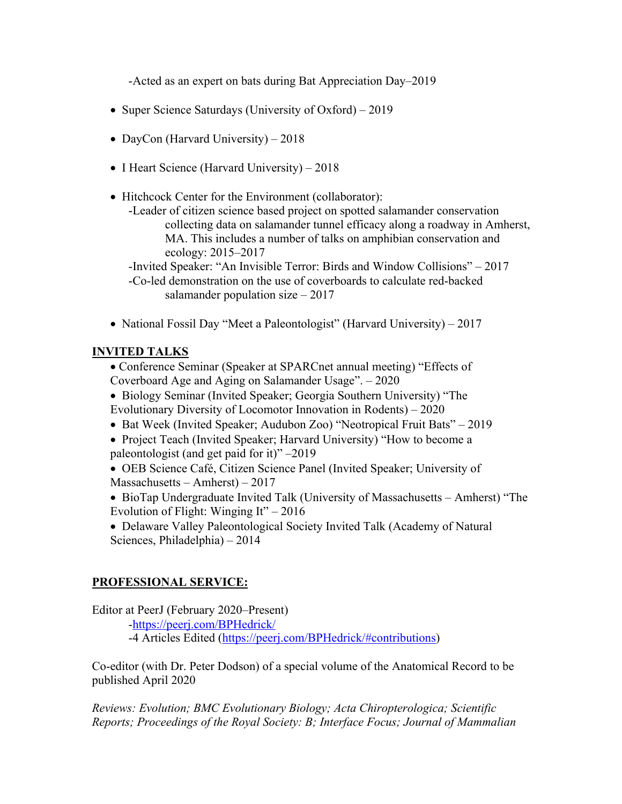-Acted as an expert on bats during Bat Appreciation Day–2019

- Super Science Saturdays (University of Oxford) 2019
- DayCon (Harvard University) 2018
- I Heart Science (Harvard University) 2018
- Hitchcock Center for the Environment (collaborator):
	- -Leader of citizen science based project on spotted salamander conservation collecting data on salamander tunnel efficacy along a roadway in Amherst, MA. This includes a number of talks on amphibian conservation and ecology: 2015–2017

-Invited Speaker: "An Invisible Terror: Birds and Window Collisions" – 2017 -Co-led demonstration on the use of coverboards to calculate red-backed salamander population size – 2017

• National Fossil Day "Meet a Paleontologist" (Harvard University) – 2017

#### **INVITED TALKS**

• Conference Seminar (Speaker at SPARCnet annual meeting) "Effects of Coverboard Age and Aging on Salamander Usage". – 2020

- Biology Seminar (Invited Speaker; Georgia Southern University) "The Evolutionary Diversity of Locomotor Innovation in Rodents) – 2020
- Bat Week (Invited Speaker; Audubon Zoo) "Neotropical Fruit Bats" 2019
- Project Teach (Invited Speaker; Harvard University) "How to become a paleontologist (and get paid for it)" –2019
- OEB Science Café, Citizen Science Panel (Invited Speaker; University of Massachusetts – Amherst) – 2017
- BioTap Undergraduate Invited Talk (University of Massachusetts Amherst) "The Evolution of Flight: Winging It" – 2016
- Delaware Valley Paleontological Society Invited Talk (Academy of Natural Sciences, Philadelphia) – 2014

## **PROFESSIONAL SERVICE:**

Editor at PeerJ (February 2020–Present)

-https://peerj.com/BPHedrick/

-4 Articles Edited (https://peerj.com/BPHedrick/#contributions)

Co-editor (with Dr. Peter Dodson) of a special volume of the Anatomical Record to be published April 2020

*Reviews: Evolution; BMC Evolutionary Biology; Acta Chiropterologica; Scientific Reports; Proceedings of the Royal Society: B; Interface Focus; Journal of Mammalian*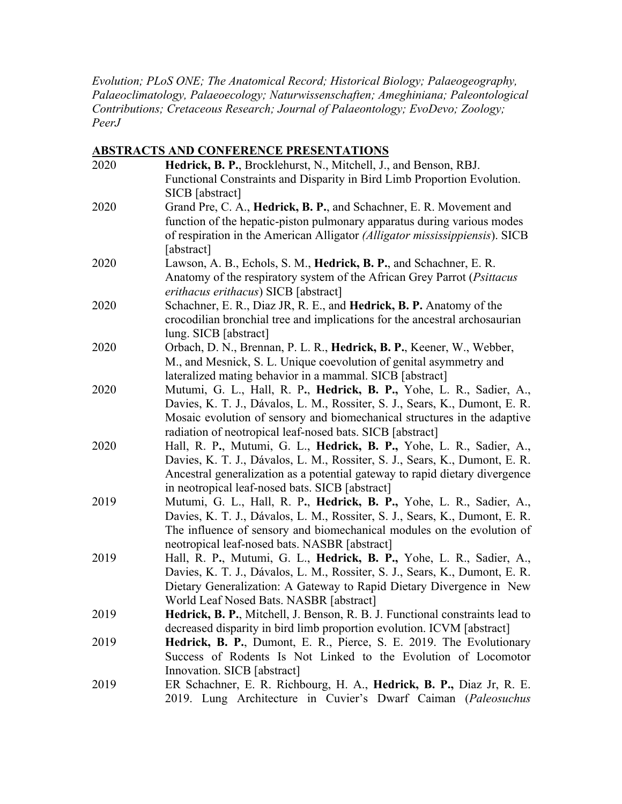*Evolution; PLoS ONE; The Anatomical Record; Historical Biology; Palaeogeography, Palaeoclimatology, Palaeoecology; Naturwissenschaften; Ameghiniana; Paleontological Contributions; Cretaceous Research; Journal of Palaeontology; EvoDevo; Zoology; PeerJ*

#### **ABSTRACTS AND CONFERENCE PRESENTATIONS**

| 2020 | Hedrick, B. P., Brocklehurst, N., Mitchell, J., and Benson, RBJ.                           |
|------|--------------------------------------------------------------------------------------------|
|      | Functional Constraints and Disparity in Bird Limb Proportion Evolution.<br>SICB [abstract] |
| 2020 | Grand Pre, C. A., Hedrick, B. P., and Schachner, E. R. Movement and                        |
|      | function of the hepatic-piston pulmonary apparatus during various modes                    |
|      | of respiration in the American Alligator (Alligator mississippiensis). SICB                |
|      | [abstract]                                                                                 |
| 2020 | Lawson, A. B., Echols, S. M., Hedrick, B. P., and Schachner, E. R.                         |
|      | Anatomy of the respiratory system of the African Grey Parrot (Psittacus                    |
|      | erithacus erithacus) SICB [abstract]                                                       |
| 2020 | Schachner, E. R., Diaz JR, R. E., and Hedrick, B. P. Anatomy of the                        |
|      | crocodilian bronchial tree and implications for the ancestral archosaurian                 |
|      | lung. SICB [abstract]                                                                      |
| 2020 | Orbach, D. N., Brennan, P. L. R., Hedrick, B. P., Keener, W., Webber,                      |
|      | M., and Mesnick, S. L. Unique coevolution of genital asymmetry and                         |
|      | lateralized mating behavior in a mammal. SICB [abstract]                                   |
| 2020 | Mutumi, G. L., Hall, R. P., Hedrick, B. P., Yohe, L. R., Sadier, A.,                       |
|      | Davies, K. T. J., Dávalos, L. M., Rossiter, S. J., Sears, K., Dumont, E. R.                |
|      | Mosaic evolution of sensory and biomechanical structures in the adaptive                   |
|      | radiation of neotropical leaf-nosed bats. SICB [abstract]                                  |
| 2020 | Hall, R. P., Mutumi, G. L., Hedrick, B. P., Yohe, L. R., Sadier, A.,                       |
|      | Davies, K. T. J., Dávalos, L. M., Rossiter, S. J., Sears, K., Dumont, E. R.                |
|      | Ancestral generalization as a potential gateway to rapid dietary divergence                |
|      | in neotropical leaf-nosed bats. SICB [abstract]                                            |
| 2019 | Mutumi, G. L., Hall, R. P., Hedrick, B. P., Yohe, L. R., Sadier, A.,                       |
|      | Davies, K. T. J., Dávalos, L. M., Rossiter, S. J., Sears, K., Dumont, E. R.                |
|      | The influence of sensory and biomechanical modules on the evolution of                     |
|      | neotropical leaf-nosed bats. NASBR [abstract]                                              |
| 2019 | Hall, R. P., Mutumi, G. L., Hedrick, B. P., Yohe, L. R., Sadier, A.,                       |
|      | Davies, K. T. J., Dávalos, L. M., Rossiter, S. J., Sears, K., Dumont, E. R.                |
|      | Dietary Generalization: A Gateway to Rapid Dietary Divergence in New                       |
|      | World Leaf Nosed Bats. NASBR [abstract]                                                    |
| 2019 | Hedrick, B. P., Mitchell, J. Benson, R. B. J. Functional constraints lead to               |
|      | decreased disparity in bird limb proportion evolution. ICVM [abstract]                     |
| 2019 | Hedrick, B. P., Dumont, E. R., Pierce, S. E. 2019. The Evolutionary                        |
|      | Success of Rodents Is Not Linked to the Evolution of Locomotor                             |
|      | Innovation. SICB [abstract]                                                                |
| 2019 | ER Schachner, E. R. Richbourg, H. A., Hedrick, B. P., Diaz Jr, R. E.                       |
|      | 2019. Lung Architecture in Cuvier's Dwarf Caiman (Paleosuchus                              |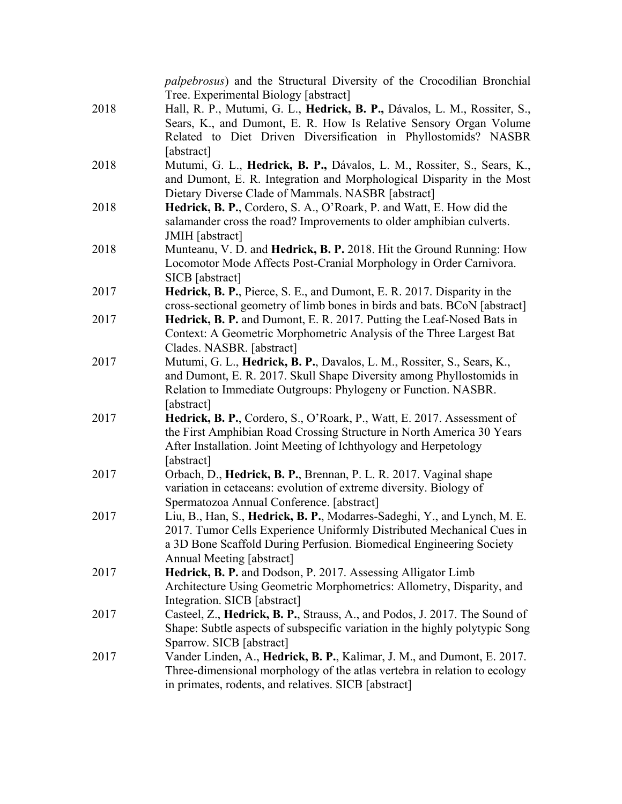|      | <i>palpebrosus</i> ) and the Structural Diversity of the Crocodilian Bronchial<br>Tree. Experimental Biology [abstract]                 |
|------|-----------------------------------------------------------------------------------------------------------------------------------------|
| 2018 | Hall, R. P., Mutumi, G. L., Hedrick, B. P., Dávalos, L. M., Rossiter, S.,                                                               |
|      | Sears, K., and Dumont, E. R. How Is Relative Sensory Organ Volume                                                                       |
|      | Related to Diet Driven Diversification in Phyllostomids? NASBR                                                                          |
|      | [abstract]                                                                                                                              |
| 2018 | Mutumi, G. L., Hedrick, B. P., Dávalos, L. M., Rossiter, S., Sears, K.,                                                                 |
|      | and Dumont, E. R. Integration and Morphological Disparity in the Most                                                                   |
|      | Dietary Diverse Clade of Mammals. NASBR [abstract]                                                                                      |
| 2018 | Hedrick, B. P., Cordero, S. A., O'Roark, P. and Watt, E. How did the                                                                    |
|      | salamander cross the road? Improvements to older amphibian culverts.                                                                    |
|      | JMIH [abstract]                                                                                                                         |
| 2018 | Munteanu, V. D. and Hedrick, B. P. 2018. Hit the Ground Running: How                                                                    |
|      | Locomotor Mode Affects Post-Cranial Morphology in Order Carnivora.<br>SICB [abstract]                                                   |
| 2017 | Hedrick, B. P., Pierce, S. E., and Dumont, E. R. 2017. Disparity in the                                                                 |
|      | cross-sectional geometry of limb bones in birds and bats. BCoN [abstract]                                                               |
| 2017 | Hedrick, B. P. and Dumont, E. R. 2017. Putting the Leaf-Nosed Bats in                                                                   |
|      | Context: A Geometric Morphometric Analysis of the Three Largest Bat                                                                     |
|      | Clades. NASBR. [abstract]                                                                                                               |
| 2017 | Mutumi, G. L., Hedrick, B. P., Davalos, L. M., Rossiter, S., Sears, K.,                                                                 |
|      | and Dumont, E. R. 2017. Skull Shape Diversity among Phyllostomids in                                                                    |
|      | Relation to Immediate Outgroups: Phylogeny or Function. NASBR.                                                                          |
|      | [abstract]                                                                                                                              |
| 2017 | Hedrick, B. P., Cordero, S., O'Roark, P., Watt, E. 2017. Assessment of                                                                  |
|      | the First Amphibian Road Crossing Structure in North America 30 Years                                                                   |
|      | After Installation. Joint Meeting of Ichthyology and Herpetology                                                                        |
|      | [abstract]                                                                                                                              |
| 2017 | Orbach, D., Hedrick, B. P., Brennan, P. L. R. 2017. Vaginal shape<br>variation in cetaceans: evolution of extreme diversity. Biology of |
|      | Spermatozoa Annual Conference. [abstract]                                                                                               |
| 2017 | Liu, B., Han, S., Hedrick, B. P., Modarres-Sadeghi, Y., and Lynch, M. E.                                                                |
|      | 2017. Tumor Cells Experience Uniformly Distributed Mechanical Cues in                                                                   |
|      | a 3D Bone Scaffold During Perfusion. Biomedical Engineering Society                                                                     |
|      | Annual Meeting [abstract]                                                                                                               |
| 2017 | Hedrick, B. P. and Dodson, P. 2017. Assessing Alligator Limb                                                                            |
|      | Architecture Using Geometric Morphometrics: Allometry, Disparity, and                                                                   |
|      | Integration. SICB [abstract]                                                                                                            |
| 2017 | Casteel, Z., Hedrick, B. P., Strauss, A., and Podos, J. 2017. The Sound of                                                              |
|      | Shape: Subtle aspects of subspecific variation in the highly polytypic Song                                                             |
|      | Sparrow. SICB [abstract]                                                                                                                |
| 2017 | Vander Linden, A., Hedrick, B. P., Kalimar, J. M., and Dumont, E. 2017.                                                                 |
|      | Three-dimensional morphology of the atlas vertebra in relation to ecology                                                               |
|      | in primates, rodents, and relatives. SICB [abstract]                                                                                    |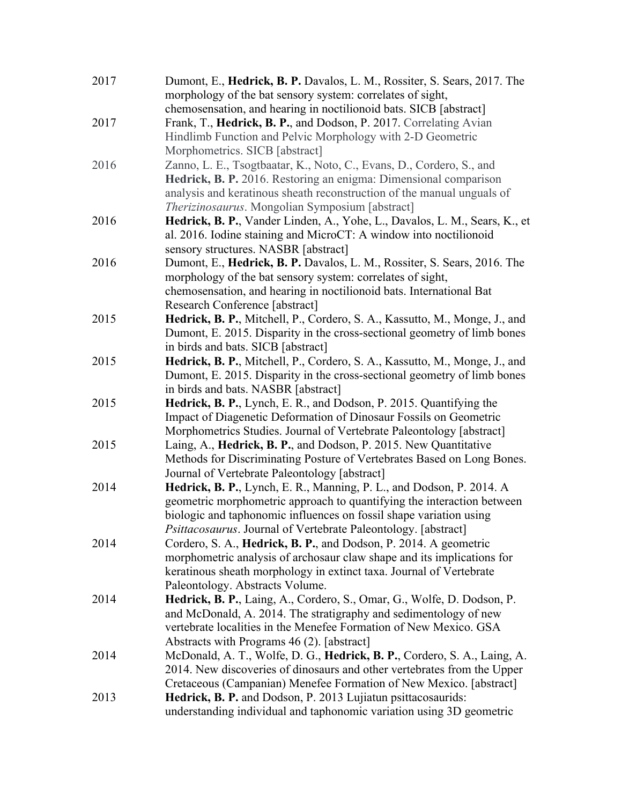| 2017 | Dumont, E., Hedrick, B. P. Davalos, L. M., Rossiter, S. Sears, 2017. The<br>morphology of the bat sensory system: correlates of sight, |
|------|----------------------------------------------------------------------------------------------------------------------------------------|
|      | chemosensation, and hearing in noctilionoid bats. SICB [abstract]                                                                      |
| 2017 | Frank, T., Hedrick, B. P., and Dodson, P. 2017. Correlating Avian                                                                      |
|      | Hindlimb Function and Pelvic Morphology with 2-D Geometric                                                                             |
|      | Morphometrics. SICB [abstract]                                                                                                         |
| 2016 | Zanno, L. E., Tsogtbaatar, K., Noto, C., Evans, D., Cordero, S., and                                                                   |
|      | Hedrick, B. P. 2016. Restoring an enigma: Dimensional comparison                                                                       |
|      | analysis and keratinous sheath reconstruction of the manual unguals of                                                                 |
|      | Therizinosaurus. Mongolian Symposium [abstract]                                                                                        |
| 2016 | Hedrick, B. P., Vander Linden, A., Yohe, L., Davalos, L. M., Sears, K., et                                                             |
|      | al. 2016. Iodine staining and MicroCT: A window into noctilionoid                                                                      |
|      | sensory structures. NASBR [abstract]                                                                                                   |
| 2016 | Dumont, E., Hedrick, B. P. Davalos, L. M., Rossiter, S. Sears, 2016. The                                                               |
|      | morphology of the bat sensory system: correlates of sight,                                                                             |
|      | chemosensation, and hearing in noctilionoid bats. International Bat                                                                    |
|      | Research Conference [abstract]                                                                                                         |
| 2015 | Hedrick, B. P., Mitchell, P., Cordero, S. A., Kassutto, M., Monge, J., and                                                             |
|      | Dumont, E. 2015. Disparity in the cross-sectional geometry of limb bones                                                               |
|      | in birds and bats. SICB [abstract]                                                                                                     |
| 2015 | Hedrick, B. P., Mitchell, P., Cordero, S. A., Kassutto, M., Monge, J., and                                                             |
|      | Dumont, E. 2015. Disparity in the cross-sectional geometry of limb bones                                                               |
|      | in birds and bats. NASBR [abstract]                                                                                                    |
| 2015 | Hedrick, B. P., Lynch, E. R., and Dodson, P. 2015. Quantifying the                                                                     |
|      | Impact of Diagenetic Deformation of Dinosaur Fossils on Geometric                                                                      |
|      | Morphometrics Studies. Journal of Vertebrate Paleontology [abstract]                                                                   |
| 2015 | Laing, A., Hedrick, B. P., and Dodson, P. 2015. New Quantitative                                                                       |
|      | Methods for Discriminating Posture of Vertebrates Based on Long Bones.                                                                 |
|      | Journal of Vertebrate Paleontology [abstract]                                                                                          |
| 2014 | Hedrick, B. P., Lynch, E. R., Manning, P. L., and Dodson, P. 2014. A                                                                   |
|      | geometric morphometric approach to quantifying the interaction between                                                                 |
|      | biologic and taphonomic influences on fossil shape variation using                                                                     |
|      | Psittacosaurus. Journal of Vertebrate Paleontology. [abstract]                                                                         |
| 2014 | Cordero, S. A., Hedrick, B. P., and Dodson, P. 2014. A geometric                                                                       |
|      | morphometric analysis of archosaur claw shape and its implications for                                                                 |
|      | keratinous sheath morphology in extinct taxa. Journal of Vertebrate                                                                    |
|      | Paleontology. Abstracts Volume.                                                                                                        |
| 2014 | Hedrick, B. P., Laing, A., Cordero, S., Omar, G., Wolfe, D. Dodson, P.                                                                 |
|      | and McDonald, A. 2014. The stratigraphy and sedimentology of new                                                                       |
|      | vertebrate localities in the Menefee Formation of New Mexico. GSA                                                                      |
|      | Abstracts with Programs 46 (2). [abstract]                                                                                             |
| 2014 | McDonald, A. T., Wolfe, D. G., Hedrick, B. P., Cordero, S. A., Laing, A.                                                               |
|      | 2014. New discoveries of dinosaurs and other vertebrates from the Upper                                                                |
|      | Cretaceous (Campanian) Menefee Formation of New Mexico. [abstract]                                                                     |
| 2013 | Hedrick, B. P. and Dodson, P. 2013 Lujiatun psittacosaurids:                                                                           |
|      | understanding individual and taphonomic variation using 3D geometric                                                                   |